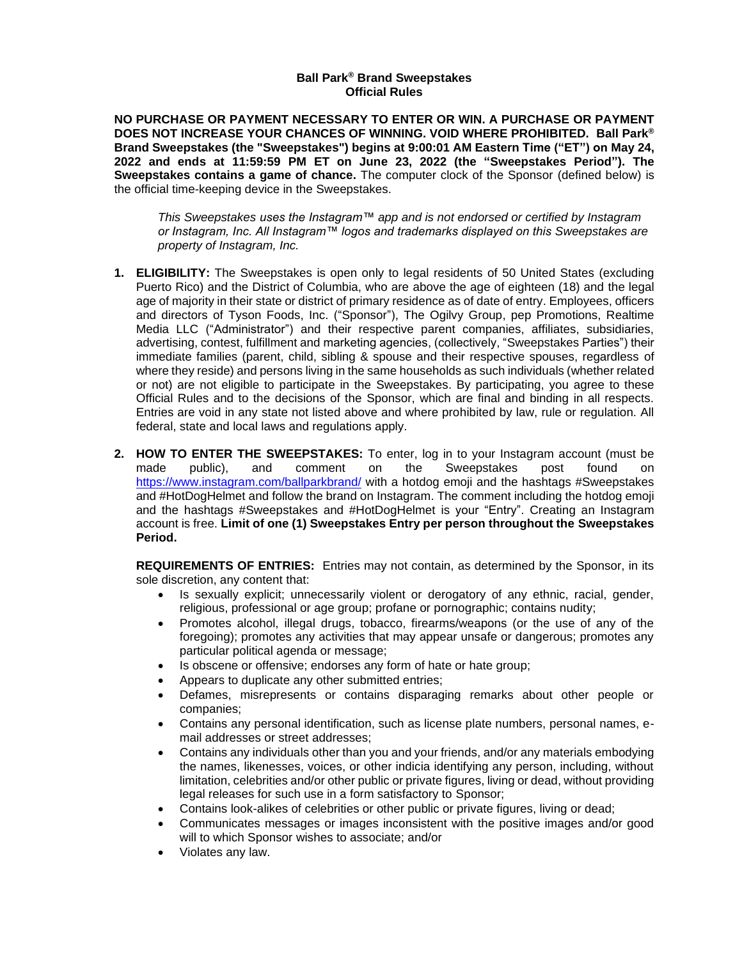## **Ball Park® Brand Sweepstakes Official Rules**

**NO PURCHASE OR PAYMENT NECESSARY TO ENTER OR WIN. A PURCHASE OR PAYMENT DOES NOT INCREASE YOUR CHANCES OF WINNING. VOID WHERE PROHIBITED. Ball Park® Brand Sweepstakes (the "Sweepstakes") begins at 9:00:01 AM Eastern Time ("ET") on May 24, 2022 and ends at 11:59:59 PM ET on June 23, 2022 (the "Sweepstakes Period"). The Sweepstakes contains a game of chance.** The computer clock of the Sponsor (defined below) is the official time-keeping device in the Sweepstakes.

*This Sweepstakes uses the Instagram™ app and is not endorsed or certified by Instagram or Instagram, Inc. All Instagram™ logos and trademarks displayed on this Sweepstakes are property of Instagram, Inc.*

- **1. ELIGIBILITY:** The Sweepstakes is open only to legal residents of 50 United States (excluding Puerto Rico) and the District of Columbia, who are above the age of eighteen (18) and the legal age of majority in their state or district of primary residence as of date of entry. Employees, officers and directors of Tyson Foods, Inc. ("Sponsor"), The Ogilvy Group, pep Promotions, Realtime Media LLC ("Administrator") and their respective parent companies, affiliates, subsidiaries, advertising, contest, fulfillment and marketing agencies, (collectively, "Sweepstakes Parties") their immediate families (parent, child, sibling & spouse and their respective spouses, regardless of where they reside) and persons living in the same households as such individuals (whether related or not) are not eligible to participate in the Sweepstakes. By participating, you agree to these Official Rules and to the decisions of the Sponsor, which are final and binding in all respects. Entries are void in any state not listed above and where prohibited by law, rule or regulation. All federal, state and local laws and regulations apply.
- **2. HOW TO ENTER THE SWEEPSTAKES:** To enter, log in to your Instagram account (must be made public), and comment on the Sweepstakes post found on <https://www.instagram.com/ballparkbrand/> with a hotdog emoji and the hashtags #Sweepstakes and #HotDogHelmet and follow the brand on Instagram. The comment including the hotdog emoji and the hashtags #Sweepstakes and #HotDogHelmet is your "Entry". Creating an Instagram account is free. **Limit of one (1) Sweepstakes Entry per person throughout the Sweepstakes Period.**

**REQUIREMENTS OF ENTRIES:** Entries may not contain, as determined by the Sponsor, in its sole discretion, any content that:

- Is sexually explicit; unnecessarily violent or derogatory of any ethnic, racial, gender, religious, professional or age group; profane or pornographic; contains nudity;
- Promotes alcohol, illegal drugs, tobacco, firearms/weapons (or the use of any of the foregoing); promotes any activities that may appear unsafe or dangerous; promotes any particular political agenda or message;
- Is obscene or offensive; endorses any form of hate or hate group;
- Appears to duplicate any other submitted entries;
- Defames, misrepresents or contains disparaging remarks about other people or companies;
- Contains any personal identification, such as license plate numbers, personal names, email addresses or street addresses;
- Contains any individuals other than you and your friends, and/or any materials embodying the names, likenesses, voices, or other indicia identifying any person, including, without limitation, celebrities and/or other public or private figures, living or dead, without providing legal releases for such use in a form satisfactory to Sponsor;
- Contains look-alikes of celebrities or other public or private figures, living or dead;
- Communicates messages or images inconsistent with the positive images and/or good will to which Sponsor wishes to associate; and/or
- Violates any law.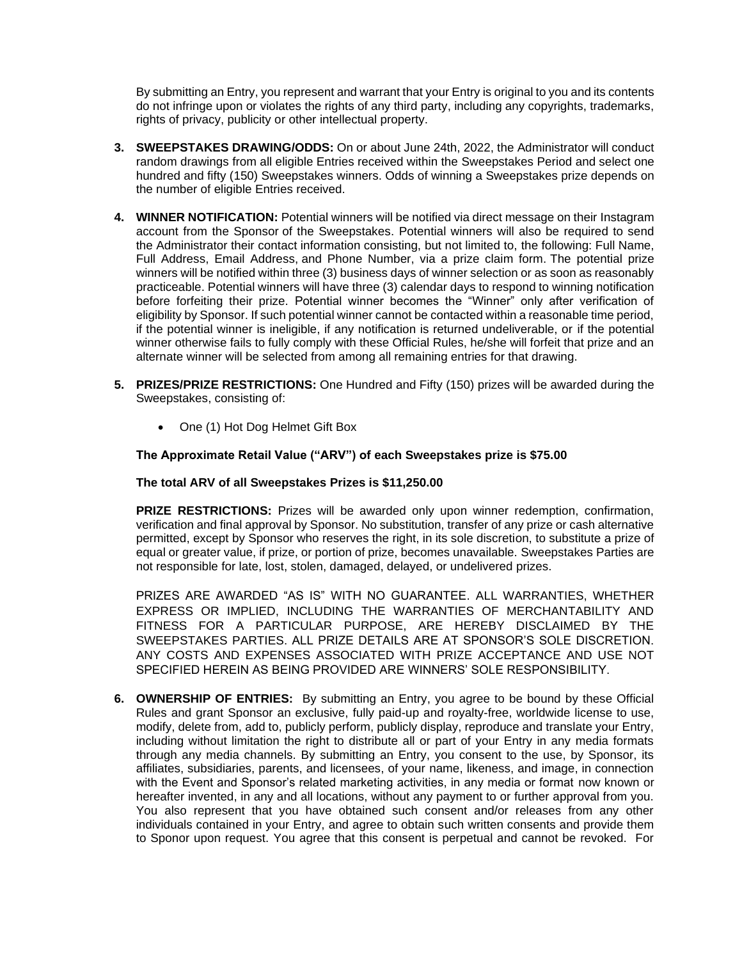By submitting an Entry, you represent and warrant that your Entry is original to you and its contents do not infringe upon or violates the rights of any third party, including any copyrights, trademarks, rights of privacy, publicity or other intellectual property.

- **3. SWEEPSTAKES DRAWING/ODDS:** On or about June 24th, 2022, the Administrator will conduct random drawings from all eligible Entries received within the Sweepstakes Period and select one hundred and fifty (150) Sweepstakes winners. Odds of winning a Sweepstakes prize depends on the number of eligible Entries received.
- **4. WINNER NOTIFICATION:** Potential winners will be notified via direct message on their Instagram account from the Sponsor of the Sweepstakes. Potential winners will also be required to send the Administrator their contact information consisting, but not limited to, the following: Full Name, Full Address, Email Address, and Phone Number, via a prize claim form. The potential prize winners will be notified within three (3) business days of winner selection or as soon as reasonably practiceable. Potential winners will have three (3) calendar days to respond to winning notification before forfeiting their prize. Potential winner becomes the "Winner" only after verification of eligibility by Sponsor. If such potential winner cannot be contacted within a reasonable time period, if the potential winner is ineligible, if any notification is returned undeliverable, or if the potential winner otherwise fails to fully comply with these Official Rules, he/she will forfeit that prize and an alternate winner will be selected from among all remaining entries for that drawing.
- **5. PRIZES/PRIZE RESTRICTIONS:** One Hundred and Fifty (150) prizes will be awarded during the Sweepstakes, consisting of:
	- One (1) Hot Dog Helmet Gift Box

## **The Approximate Retail Value ("ARV") of each Sweepstakes prize is \$75.00**

## **The total ARV of all Sweepstakes Prizes is \$11,250.00**

**PRIZE RESTRICTIONS:** Prizes will be awarded only upon winner redemption, confirmation, verification and final approval by Sponsor. No substitution, transfer of any prize or cash alternative permitted, except by Sponsor who reserves the right, in its sole discretion, to substitute a prize of equal or greater value, if prize, or portion of prize, becomes unavailable. Sweepstakes Parties are not responsible for late, lost, stolen, damaged, delayed, or undelivered prizes.

PRIZES ARE AWARDED "AS IS" WITH NO GUARANTEE. ALL WARRANTIES, WHETHER EXPRESS OR IMPLIED, INCLUDING THE WARRANTIES OF MERCHANTABILITY AND FITNESS FOR A PARTICULAR PURPOSE, ARE HEREBY DISCLAIMED BY THE SWEEPSTAKES PARTIES. ALL PRIZE DETAILS ARE AT SPONSOR'S SOLE DISCRETION. ANY COSTS AND EXPENSES ASSOCIATED WITH PRIZE ACCEPTANCE AND USE NOT SPECIFIED HEREIN AS BEING PROVIDED ARE WINNERS' SOLE RESPONSIBILITY.

**6. OWNERSHIP OF ENTRIES:** By submitting an Entry, you agree to be bound by these Official Rules and grant Sponsor an exclusive, fully paid-up and royalty-free, worldwide license to use, modify, delete from, add to, publicly perform, publicly display, reproduce and translate your Entry, including without limitation the right to distribute all or part of your Entry in any media formats through any media channels. By submitting an Entry, you consent to the use, by Sponsor, its affiliates, subsidiaries, parents, and licensees, of your name, likeness, and image, in connection with the Event and Sponsor's related marketing activities, in any media or format now known or hereafter invented, in any and all locations, without any payment to or further approval from you. You also represent that you have obtained such consent and/or releases from any other individuals contained in your Entry, and agree to obtain such written consents and provide them to Sponor upon request. You agree that this consent is perpetual and cannot be revoked. For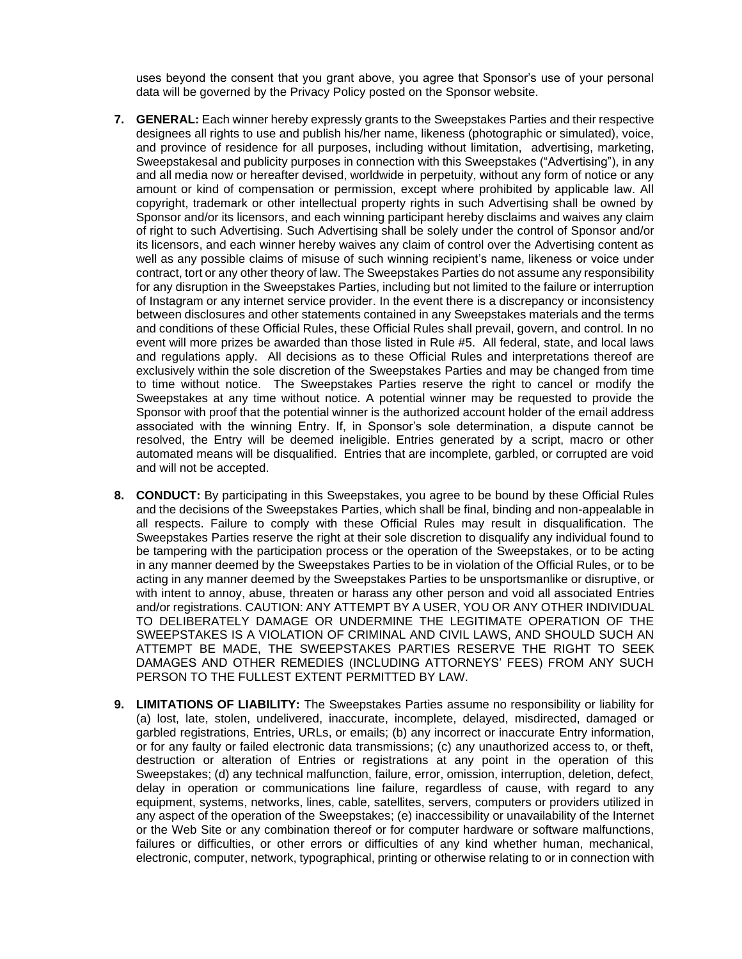uses beyond the consent that you grant above, you agree that Sponsor's use of your personal data will be governed by the Privacy Policy posted on the Sponsor website.

- **7. GENERAL:** Each winner hereby expressly grants to the Sweepstakes Parties and their respective designees all rights to use and publish his/her name, likeness (photographic or simulated), voice, and province of residence for all purposes, including without limitation, advertising, marketing, Sweepstakesal and publicity purposes in connection with this Sweepstakes ("Advertising"), in any and all media now or hereafter devised, worldwide in perpetuity, without any form of notice or any amount or kind of compensation or permission, except where prohibited by applicable law. All copyright, trademark or other intellectual property rights in such Advertising shall be owned by Sponsor and/or its licensors, and each winning participant hereby disclaims and waives any claim of right to such Advertising. Such Advertising shall be solely under the control of Sponsor and/or its licensors, and each winner hereby waives any claim of control over the Advertising content as well as any possible claims of misuse of such winning recipient's name, likeness or voice under contract, tort or any other theory of law. The Sweepstakes Parties do not assume any responsibility for any disruption in the Sweepstakes Parties, including but not limited to the failure or interruption of Instagram or any internet service provider. In the event there is a discrepancy or inconsistency between disclosures and other statements contained in any Sweepstakes materials and the terms and conditions of these Official Rules, these Official Rules shall prevail, govern, and control. In no event will more prizes be awarded than those listed in Rule #5. All federal, state, and local laws and regulations apply. All decisions as to these Official Rules and interpretations thereof are exclusively within the sole discretion of the Sweepstakes Parties and may be changed from time to time without notice. The Sweepstakes Parties reserve the right to cancel or modify the Sweepstakes at any time without notice. A potential winner may be requested to provide the Sponsor with proof that the potential winner is the authorized account holder of the email address associated with the winning Entry. If, in Sponsor's sole determination, a dispute cannot be resolved, the Entry will be deemed ineligible. Entries generated by a script, macro or other automated means will be disqualified. Entries that are incomplete, garbled, or corrupted are void and will not be accepted.
- **8. CONDUCT:** By participating in this Sweepstakes, you agree to be bound by these Official Rules and the decisions of the Sweepstakes Parties, which shall be final, binding and non-appealable in all respects. Failure to comply with these Official Rules may result in disqualification. The Sweepstakes Parties reserve the right at their sole discretion to disqualify any individual found to be tampering with the participation process or the operation of the Sweepstakes, or to be acting in any manner deemed by the Sweepstakes Parties to be in violation of the Official Rules, or to be acting in any manner deemed by the Sweepstakes Parties to be unsportsmanlike or disruptive, or with intent to annoy, abuse, threaten or harass any other person and void all associated Entries and/or registrations. CAUTION: ANY ATTEMPT BY A USER, YOU OR ANY OTHER INDIVIDUAL TO DELIBERATELY DAMAGE OR UNDERMINE THE LEGITIMATE OPERATION OF THE SWEEPSTAKES IS A VIOLATION OF CRIMINAL AND CIVIL LAWS, AND SHOULD SUCH AN ATTEMPT BE MADE, THE SWEEPSTAKES PARTIES RESERVE THE RIGHT TO SEEK DAMAGES AND OTHER REMEDIES (INCLUDING ATTORNEYS' FEES) FROM ANY SUCH PERSON TO THE FULLEST EXTENT PERMITTED BY LAW.
- **9. LIMITATIONS OF LIABILITY:** The Sweepstakes Parties assume no responsibility or liability for (a) lost, late, stolen, undelivered, inaccurate, incomplete, delayed, misdirected, damaged or garbled registrations, Entries, URLs, or emails; (b) any incorrect or inaccurate Entry information, or for any faulty or failed electronic data transmissions; (c) any unauthorized access to, or theft, destruction or alteration of Entries or registrations at any point in the operation of this Sweepstakes; (d) any technical malfunction, failure, error, omission, interruption, deletion, defect, delay in operation or communications line failure, regardless of cause, with regard to any equipment, systems, networks, lines, cable, satellites, servers, computers or providers utilized in any aspect of the operation of the Sweepstakes; (e) inaccessibility or unavailability of the Internet or the Web Site or any combination thereof or for computer hardware or software malfunctions, failures or difficulties, or other errors or difficulties of any kind whether human, mechanical, electronic, computer, network, typographical, printing or otherwise relating to or in connection with